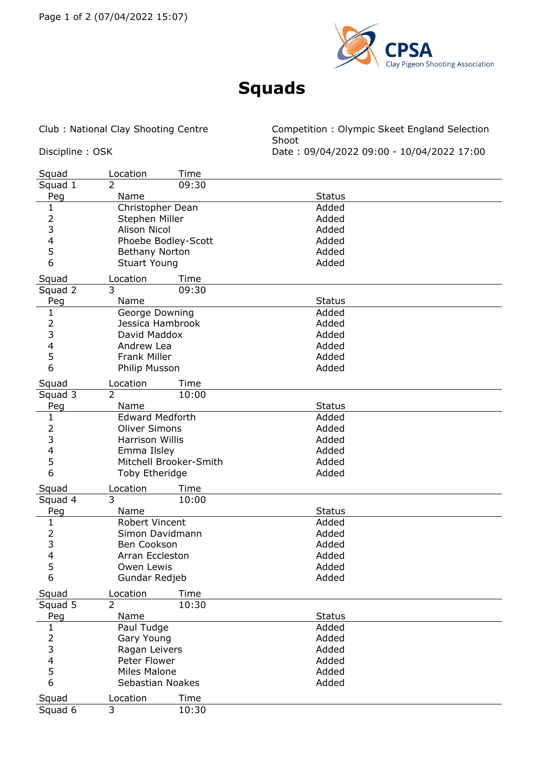

## **Squads**

Club : National Clay Shooting Centre Competition : Olympic Skeet England Selection Shoot Discipline : OSK Date : 09/04/2022 09:00 - 10/04/2022 17:00

| Squad                    | Location<br>Time        |               |  |
|--------------------------|-------------------------|---------------|--|
| Squad 1                  | $\overline{2}$<br>09:30 |               |  |
| Peg                      | Name                    | <b>Status</b> |  |
| $\mathbf{1}$             | Christopher Dean        | Added         |  |
| $\overline{2}$           | Stephen Miller          | Added         |  |
| 3                        | <b>Alison Nicol</b>     | Added         |  |
| $\overline{\mathcal{A}}$ | Phoebe Bodley-Scott     | Added         |  |
| 5                        | Bethany Norton          | Added         |  |
| 6                        | <b>Stuart Young</b>     | Added         |  |
| Squad                    | Location<br>Time        |               |  |
| Squad 2                  | 3<br>09:30              |               |  |
| Peg                      | Name                    | <b>Status</b> |  |
| $\mathbf{1}$             | George Downing          | Added         |  |
| $\overline{2}$           | Jessica Hambrook        | Added         |  |
| 3                        | David Maddox            | Added         |  |
| 4                        | Andrew Lea              | Added         |  |
| 5                        | <b>Frank Miller</b>     | Added         |  |
| 6                        | Philip Musson           | Added         |  |
|                          |                         |               |  |
| Squad                    | Location<br>Time        |               |  |
| Squad 3                  | $\overline{2}$<br>10:00 |               |  |
| Peg                      | Name                    | <b>Status</b> |  |
| $\mathbf{1}$             | <b>Edward Medforth</b>  | Added         |  |
| $\overline{2}$           | <b>Oliver Simons</b>    | Added         |  |
| 3                        | <b>Harrison Willis</b>  | Added         |  |
| $\overline{\mathbf{4}}$  | Emma Ilsley             | Added         |  |
| 5                        | Mitchell Brooker-Smith  | Added         |  |
| 6                        | Toby Etheridge          | Added         |  |
| Squad                    | Location<br>Time        |               |  |
| Squad 4                  | 3<br>10:00              |               |  |
| Peg                      | Name                    | <b>Status</b> |  |
| $\mathbf{1}$             | Robert Vincent          | Added         |  |
|                          | Simon Davidmann         | Added         |  |
| $\frac{2}{3}$            | Ben Cookson             | Added         |  |
|                          | Arran Eccleston         | Added         |  |
| $\frac{4}{5}$            | Owen Lewis              | Added         |  |
| 6                        | Gundar Redjeb           | Added         |  |
| Squad                    | Location<br>Time        |               |  |
| Squad 5                  | 2<br>10:30              |               |  |
| Peg                      | Name                    | <b>Status</b> |  |
| $\mathbf{1}$             | Paul Tudge              | Added         |  |
| $\overline{2}$           | Gary Young              | Added         |  |
| 3                        | Ragan Leivers           | Added         |  |
| 4                        | Peter Flower            | Added         |  |
| 5                        | <b>Miles Malone</b>     | Added         |  |
| 6                        | Sebastian Noakes        | Added         |  |
|                          |                         |               |  |
| Squad                    | Location<br>Time        |               |  |
| Squad 6                  | 10:30<br>3              |               |  |